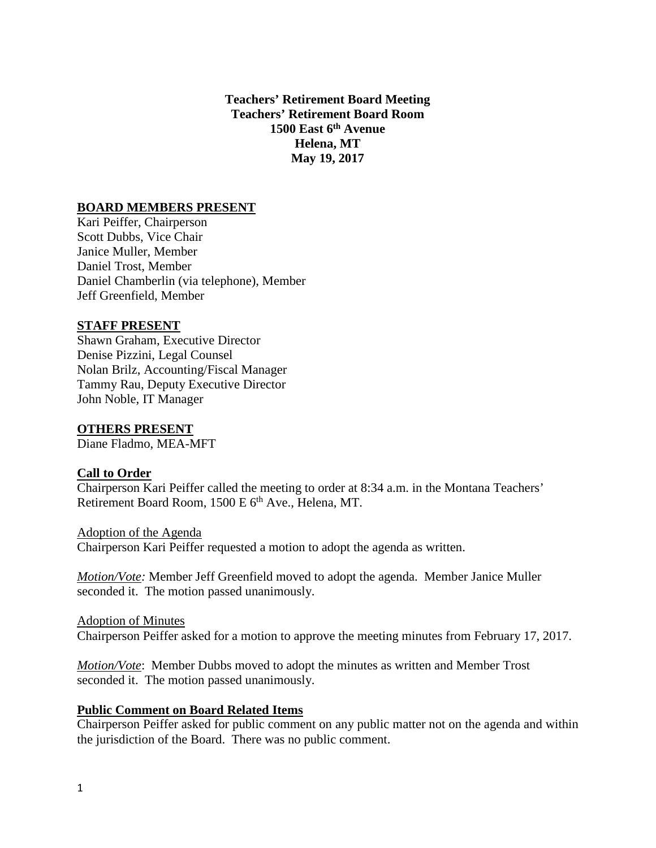**Teachers' Retirement Board Meeting Teachers' Retirement Board Room 1500 East 6th Avenue Helena, MT May 19, 2017**

#### **BOARD MEMBERS PRESENT**

Kari Peiffer, Chairperson Scott Dubbs, Vice Chair Janice Muller, Member Daniel Trost, Member Daniel Chamberlin (via telephone), Member Jeff Greenfield, Member

#### **STAFF PRESENT**

Shawn Graham, Executive Director Denise Pizzini, Legal Counsel Nolan Brilz, Accounting/Fiscal Manager Tammy Rau, Deputy Executive Director John Noble, IT Manager

#### **OTHERS PRESENT**

Diane Fladmo, MEA-MFT

#### **Call to Order**

Chairperson Kari Peiffer called the meeting to order at 8:34 a.m. in the Montana Teachers' Retirement Board Room, 1500 E 6<sup>th</sup> Ave., Helena, MT.

Adoption of the Agenda Chairperson Kari Peiffer requested a motion to adopt the agenda as written.

*Motion/Vote:* Member Jeff Greenfield moved to adopt the agenda. Member Janice Muller seconded it. The motion passed unanimously.

Adoption of Minutes Chairperson Peiffer asked for a motion to approve the meeting minutes from February 17, 2017.

*Motion/Vote*: Member Dubbs moved to adopt the minutes as written and Member Trost seconded it. The motion passed unanimously.

#### **Public Comment on Board Related Items**

Chairperson Peiffer asked for public comment on any public matter not on the agenda and within the jurisdiction of the Board. There was no public comment.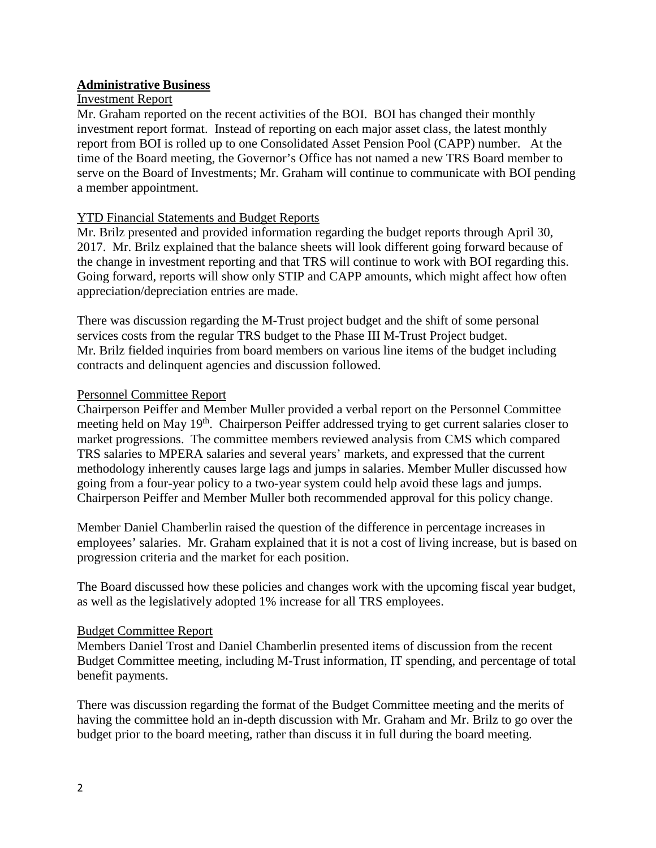### **Administrative Business**

#### Investment Report

Mr. Graham reported on the recent activities of the BOI. BOI has changed their monthly investment report format. Instead of reporting on each major asset class, the latest monthly report from BOI is rolled up to one Consolidated Asset Pension Pool (CAPP) number. At the time of the Board meeting, the Governor's Office has not named a new TRS Board member to serve on the Board of Investments; Mr. Graham will continue to communicate with BOI pending a member appointment.

### YTD Financial Statements and Budget Reports

Mr. Brilz presented and provided information regarding the budget reports through April 30, 2017. Mr. Brilz explained that the balance sheets will look different going forward because of the change in investment reporting and that TRS will continue to work with BOI regarding this. Going forward, reports will show only STIP and CAPP amounts, which might affect how often appreciation/depreciation entries are made.

There was discussion regarding the M-Trust project budget and the shift of some personal services costs from the regular TRS budget to the Phase III M-Trust Project budget. Mr. Brilz fielded inquiries from board members on various line items of the budget including contracts and delinquent agencies and discussion followed.

#### Personnel Committee Report

Chairperson Peiffer and Member Muller provided a verbal report on the Personnel Committee meeting held on May 19th. Chairperson Peiffer addressed trying to get current salaries closer to market progressions. The committee members reviewed analysis from CMS which compared TRS salaries to MPERA salaries and several years' markets, and expressed that the current methodology inherently causes large lags and jumps in salaries. Member Muller discussed how going from a four-year policy to a two-year system could help avoid these lags and jumps. Chairperson Peiffer and Member Muller both recommended approval for this policy change.

Member Daniel Chamberlin raised the question of the difference in percentage increases in employees' salaries. Mr. Graham explained that it is not a cost of living increase, but is based on progression criteria and the market for each position.

The Board discussed how these policies and changes work with the upcoming fiscal year budget, as well as the legislatively adopted 1% increase for all TRS employees.

#### Budget Committee Report

Members Daniel Trost and Daniel Chamberlin presented items of discussion from the recent Budget Committee meeting, including M-Trust information, IT spending, and percentage of total benefit payments.

There was discussion regarding the format of the Budget Committee meeting and the merits of having the committee hold an in-depth discussion with Mr. Graham and Mr. Brilz to go over the budget prior to the board meeting, rather than discuss it in full during the board meeting.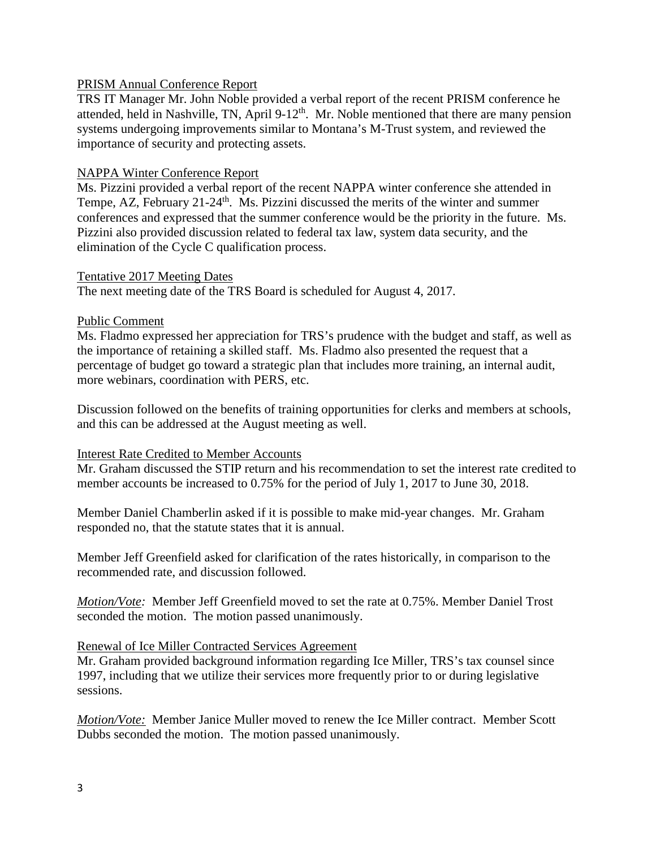### PRISM Annual Conference Report

TRS IT Manager Mr. John Noble provided a verbal report of the recent PRISM conference he attended, held in Nashville, TN, April 9-12<sup>th</sup>. Mr. Noble mentioned that there are many pension systems undergoing improvements similar to Montana's M-Trust system, and reviewed the importance of security and protecting assets.

### NAPPA Winter Conference Report

Ms. Pizzini provided a verbal report of the recent NAPPA winter conference she attended in Tempe, AZ, February  $21-24$ <sup>th</sup>. Ms. Pizzini discussed the merits of the winter and summer conferences and expressed that the summer conference would be the priority in the future. Ms. Pizzini also provided discussion related to federal tax law, system data security, and the elimination of the Cycle C qualification process.

### Tentative 2017 Meeting Dates

The next meeting date of the TRS Board is scheduled for August 4, 2017.

### Public Comment

Ms. Fladmo expressed her appreciation for TRS's prudence with the budget and staff, as well as the importance of retaining a skilled staff. Ms. Fladmo also presented the request that a percentage of budget go toward a strategic plan that includes more training, an internal audit, more webinars, coordination with PERS, etc.

Discussion followed on the benefits of training opportunities for clerks and members at schools, and this can be addressed at the August meeting as well.

### Interest Rate Credited to Member Accounts

Mr. Graham discussed the STIP return and his recommendation to set the interest rate credited to member accounts be increased to 0.75% for the period of July 1, 2017 to June 30, 2018.

Member Daniel Chamberlin asked if it is possible to make mid-year changes. Mr. Graham responded no, that the statute states that it is annual.

Member Jeff Greenfield asked for clarification of the rates historically, in comparison to the recommended rate, and discussion followed.

*Motion/Vote:* Member Jeff Greenfield moved to set the rate at 0.75%. Member Daniel Trost seconded the motion. The motion passed unanimously.

### Renewal of Ice Miller Contracted Services Agreement

Mr. Graham provided background information regarding Ice Miller, TRS's tax counsel since 1997, including that we utilize their services more frequently prior to or during legislative sessions.

*Motion/Vote:* Member Janice Muller moved to renew the Ice Miller contract. Member Scott Dubbs seconded the motion. The motion passed unanimously.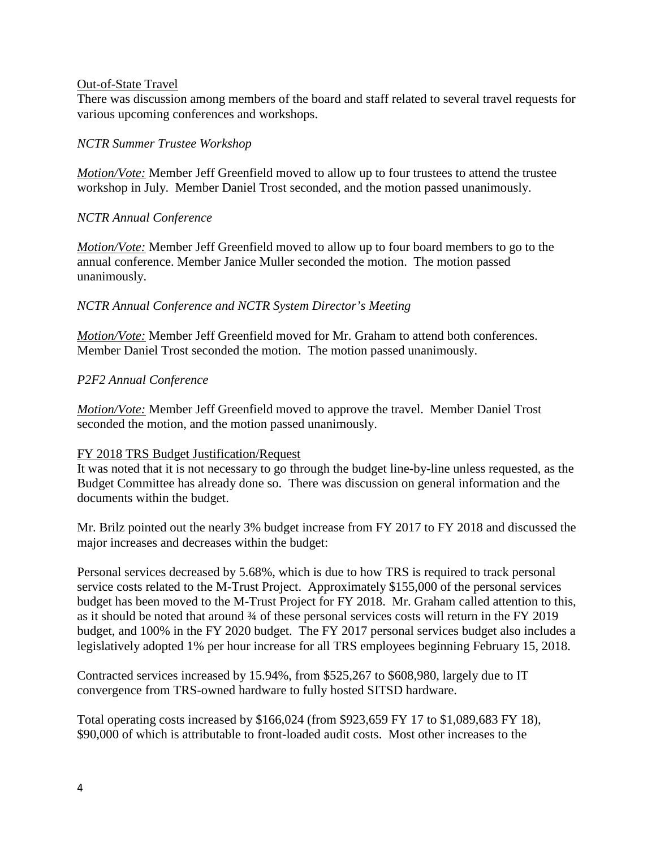#### Out-of-State Travel

There was discussion among members of the board and staff related to several travel requests for various upcoming conferences and workshops.

# *NCTR Summer Trustee Workshop*

*Motion/Vote:* Member Jeff Greenfield moved to allow up to four trustees to attend the trustee workshop in July. Member Daniel Trost seconded, and the motion passed unanimously.

## *NCTR Annual Conference*

*Motion/Vote:* Member Jeff Greenfield moved to allow up to four board members to go to the annual conference. Member Janice Muller seconded the motion. The motion passed unanimously.

# *NCTR Annual Conference and NCTR System Director's Meeting*

*Motion/Vote:* Member Jeff Greenfield moved for Mr. Graham to attend both conferences. Member Daniel Trost seconded the motion. The motion passed unanimously.

# *P2F2 Annual Conference*

*Motion/Vote:* Member Jeff Greenfield moved to approve the travel. Member Daniel Trost seconded the motion, and the motion passed unanimously.

### FY 2018 TRS Budget Justification/Request

It was noted that it is not necessary to go through the budget line-by-line unless requested, as the Budget Committee has already done so. There was discussion on general information and the documents within the budget.

Mr. Brilz pointed out the nearly 3% budget increase from FY 2017 to FY 2018 and discussed the major increases and decreases within the budget:

Personal services decreased by 5.68%, which is due to how TRS is required to track personal service costs related to the M-Trust Project. Approximately \$155,000 of the personal services budget has been moved to the M-Trust Project for FY 2018. Mr. Graham called attention to this, as it should be noted that around ¾ of these personal services costs will return in the FY 2019 budget, and 100% in the FY 2020 budget. The FY 2017 personal services budget also includes a legislatively adopted 1% per hour increase for all TRS employees beginning February 15, 2018.

Contracted services increased by 15.94%, from \$525,267 to \$608,980, largely due to IT convergence from TRS-owned hardware to fully hosted SITSD hardware.

Total operating costs increased by \$166,024 (from \$923,659 FY 17 to \$1,089,683 FY 18), \$90,000 of which is attributable to front-loaded audit costs. Most other increases to the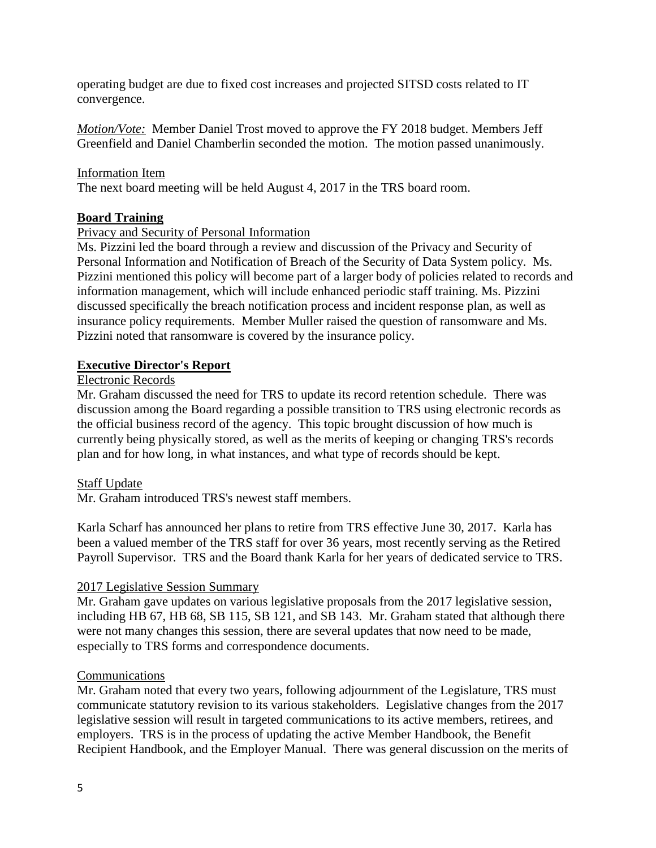operating budget are due to fixed cost increases and projected SITSD costs related to IT convergence.

*Motion/Vote:* Member Daniel Trost moved to approve the FY 2018 budget. Members Jeff Greenfield and Daniel Chamberlin seconded the motion. The motion passed unanimously.

### Information Item

The next board meeting will be held August 4, 2017 in the TRS board room.

# **Board Training**

# Privacy and Security of Personal Information

Ms. Pizzini led the board through a review and discussion of the Privacy and Security of Personal Information and Notification of Breach of the Security of Data System policy. Ms. Pizzini mentioned this policy will become part of a larger body of policies related to records and information management, which will include enhanced periodic staff training. Ms. Pizzini discussed specifically the breach notification process and incident response plan, as well as insurance policy requirements. Member Muller raised the question of ransomware and Ms. Pizzini noted that ransomware is covered by the insurance policy.

# **Executive Director's Report**

# Electronic Records

Mr. Graham discussed the need for TRS to update its record retention schedule. There was discussion among the Board regarding a possible transition to TRS using electronic records as the official business record of the agency. This topic brought discussion of how much is currently being physically stored, as well as the merits of keeping or changing TRS's records plan and for how long, in what instances, and what type of records should be kept.

### Staff Update

Mr. Graham introduced TRS's newest staff members.

Karla Scharf has announced her plans to retire from TRS effective June 30, 2017. Karla has been a valued member of the TRS staff for over 36 years, most recently serving as the Retired Payroll Supervisor. TRS and the Board thank Karla for her years of dedicated service to TRS.

### 2017 Legislative Session Summary

Mr. Graham gave updates on various legislative proposals from the 2017 legislative session, including HB 67, HB 68, SB 115, SB 121, and SB 143. Mr. Graham stated that although there were not many changes this session, there are several updates that now need to be made, especially to TRS forms and correspondence documents.

### **Communications**

Mr. Graham noted that every two years, following adjournment of the Legislature, TRS must communicate statutory revision to its various stakeholders. Legislative changes from the 2017 legislative session will result in targeted communications to its active members, retirees, and employers. TRS is in the process of updating the active Member Handbook, the Benefit Recipient Handbook, and the Employer Manual. There was general discussion on the merits of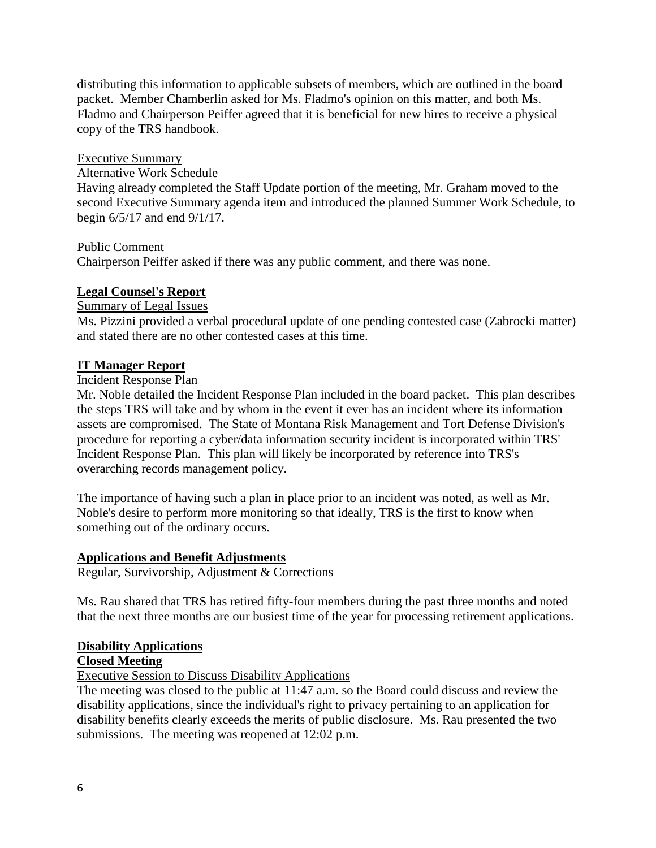distributing this information to applicable subsets of members, which are outlined in the board packet. Member Chamberlin asked for Ms. Fladmo's opinion on this matter, and both Ms. Fladmo and Chairperson Peiffer agreed that it is beneficial for new hires to receive a physical copy of the TRS handbook.

# Executive Summary

# Alternative Work Schedule

Having already completed the Staff Update portion of the meeting, Mr. Graham moved to the second Executive Summary agenda item and introduced the planned Summer Work Schedule, to begin 6/5/17 and end 9/1/17.

### Public Comment

Chairperson Peiffer asked if there was any public comment, and there was none.

# **Legal Counsel's Report**

# Summary of Legal Issues

Ms. Pizzini provided a verbal procedural update of one pending contested case (Zabrocki matter) and stated there are no other contested cases at this time.

### **IT Manager Report**

### Incident Response Plan

Mr. Noble detailed the Incident Response Plan included in the board packet. This plan describes the steps TRS will take and by whom in the event it ever has an incident where its information assets are compromised. The State of Montana Risk Management and Tort Defense Division's procedure for reporting a cyber/data information security incident is incorporated within TRS' Incident Response Plan. This plan will likely be incorporated by reference into TRS's overarching records management policy.

The importance of having such a plan in place prior to an incident was noted, as well as Mr. Noble's desire to perform more monitoring so that ideally, TRS is the first to know when something out of the ordinary occurs.

### **Applications and Benefit Adjustments**

Regular, Survivorship, Adjustment & Corrections

Ms. Rau shared that TRS has retired fifty-four members during the past three months and noted that the next three months are our busiest time of the year for processing retirement applications.

# **Disability Applications**

# **Closed Meeting**

Executive Session to Discuss Disability Applications

The meeting was closed to the public at 11:47 a.m. so the Board could discuss and review the disability applications, since the individual's right to privacy pertaining to an application for disability benefits clearly exceeds the merits of public disclosure. Ms. Rau presented the two submissions. The meeting was reopened at 12:02 p.m.